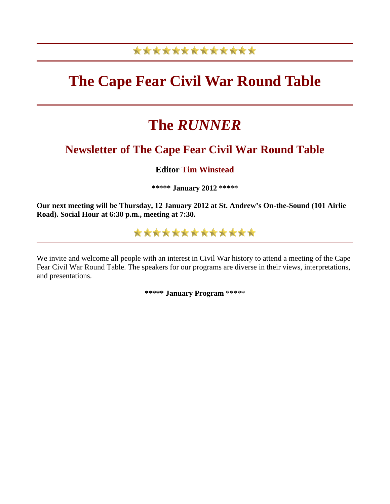# \*\*\*\*\*\*\*\*\*\*\*\*\*

# **The Cape Fear Civil War Round Table**

# **The** *RUNNER*

# **Newsletter of The Cape Fear Civil War Round Table**

# **Editor Tim Winstead**

**\*\*\*\*\* January 2012 \*\*\*\*\***

**Our next meeting will be Thursday, 12 January 2012 at St. Andrew's On-the-Sound (101 Airlie Road). Social Hour at 6:30 p.m., meeting at 7:30.**

\*\*\*\*\*\*\*\*\*\*\*\*\*

We invite and welcome all people with an interest in Civil War history to attend a meeting of the Cape Fear Civil War Round Table. The speakers for our programs are diverse in their views, interpretations, and presentations.

**\*\*\*\*\* January Program** \*\*\*\*\*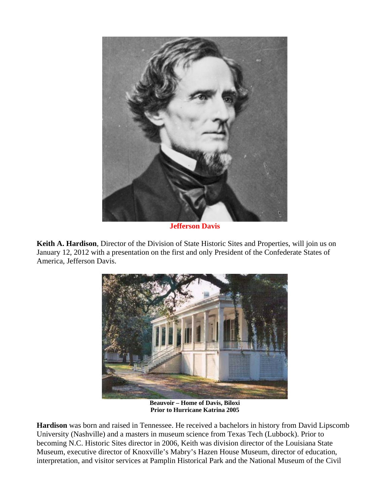

**Jefferson Davis**

**Keith A. Hardison**, Director of the Division of State Historic Sites and Properties, will join us on January 12, 2012 with a presentation on the first and only President of the Confederate States of America, Jefferson Davis.



**Beauvoir – Home of Davis, Biloxi Prior to Hurricane Katrina 2005** 

**Hardison** was born and raised in Tennessee. He received a bachelors in history from David Lipscomb University (Nashville) and a masters in museum science from Texas Tech (Lubbock). Prior to becoming N.C. Historic Sites director in 2006, Keith was division director of the Louisiana State Museum, executive director of Knoxville's Mabry's Hazen House Museum, director of education, interpretation, and visitor services at Pamplin Historical Park and the National Museum of the Civil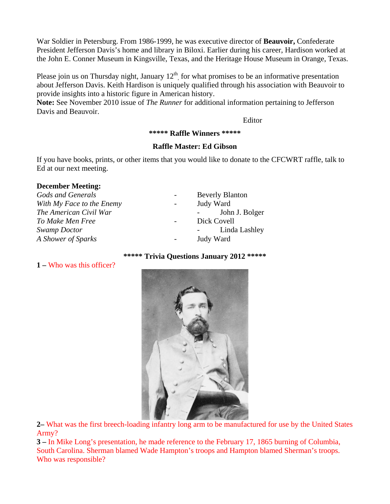War Soldier in Petersburg. From 1986-1999, he was executive director of **Beauvoir,** Confederate President Jefferson Davis's home and library in Biloxi. Earlier during his career, Hardison worked at the John E. Conner Museum in Kingsville, Texas, and the Heritage House Museum in Orange, Texas.

Please join us on Thursday night, January  $12<sup>th</sup>$ , for what promises to be an informative presentation about Jefferson Davis. Keith Hardison is uniquely qualified through his association with Beauvoir to provide insights into a historic figure in American history.

**Note:** See November 2010 issue of *The Runner* for additional information pertaining to Jefferson Davis and Beauvoir.

Editor

**\*\*\*\*\* Raffle Winners \*\*\*\*\***

## **Raffle Master: Ed Gibson**

If you have books, prints, or other items that you would like to donate to the CFCWRT raffle, talk to Ed at our next meeting.

#### **December Meeting:**

| Gods and Generals         | $\sim$                   | <b>Beverly Blanton</b> |
|---------------------------|--------------------------|------------------------|
| With My Face to the Enemy | $\sim$                   | Judy Ward              |
| The American Civil War    |                          | John J. Bolger         |
| To Make Men Free          | $\overline{\phantom{a}}$ | Dick Covell            |
| Swamp Doctor              |                          | Linda Lashley          |
| A Shower of Sparks        | $\sim$                   | Judy Ward              |

#### **\*\*\*\*\* Trivia Questions January 2012 \*\*\*\*\***

#### **1 –** Who was this officer?



**2–** What was the first breech-loading infantry long arm to be manufactured for use by the United States Army?

**3 –** In Mike Long's presentation, he made reference to the February 17, 1865 burning of Columbia, South Carolina. Sherman blamed Wade Hampton's troops and Hampton blamed Sherman's troops. Who was responsible?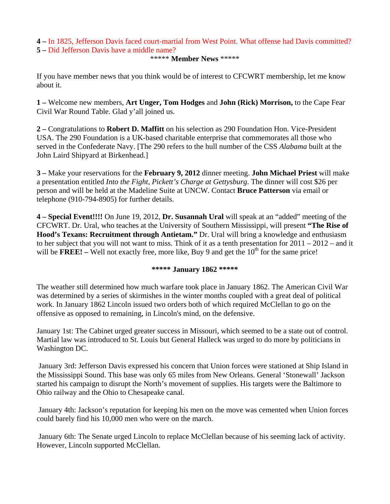#### **4 –** In 1825, Jefferson Davis faced court-martial from West Point. What offense had Davis committed? **5 –** Did Jefferson Davis have a middle name?

#### \*\*\*\*\* **Member News** \*\*\*\*\*

If you have member news that you think would be of interest to CFCWRT membership, let me know about it.

**1 –** Welcome new members, **Art Unger, Tom Hodges** and **John (Rick) Morrison,** to the Cape Fear Civil War Round Table. Glad y'all joined us.

**2 –** Congratulations to **Robert D. Maffitt** on his selection as 290 Foundation Hon. Vice-President USA. The 290 Foundation is a UK-based charitable enterprise that commemorates all those who served in the Confederate Navy. [The 290 refers to the hull number of the CSS *Alabama* built at the John Laird Shipyard at Birkenhead.]

**3 –** Make your reservations for the **February 9, 2012** dinner meeting. **John Michael Priest** will make a presentation entitled *Into the Fight, Pickett's Charge at Gettysburg*. The dinner will cost \$26 per person and will be held at the Madeline Suite at UNCW. Contact **Bruce Patterson** via email or telephone (910-794-8905) for further details.

**4 – Special Event!!!!** On June 19, 2012, **Dr. Susannah Ural** will speak at an "added" meeting of the CFCWRT. Dr. Ural, who teaches at the University of Southern Mississippi, will present **"The Rise of Hood's Texans: Recruitment through Antietam."** Dr. Ural will bring a knowledge and enthusiasm to her subject that you will not want to miss. Think of it as a tenth presentation for 2011 – 2012 – and it will be **FREE!** – Well not exactly free, more like, Buy 9 and get the 10<sup>th</sup> for the same price!

#### **\*\*\*\*\* January 1862 \*\*\*\*\***

The weather still determined how much warfare took place in January 1862. The American Civil War was determined by a series of skirmishes in the winter months coupled with a great deal of political work. In January 1862 Lincoln issued two orders both of which required McClellan to go on the offensive as opposed to remaining, in Lincoln's mind, on the defensive.

January 1st: The Cabinet urged greater success in Missouri, which seemed to be a state out of control. Martial law was introduced to St. Louis but General Halleck was urged to do more by politicians in Washington DC.

 January 3rd: Jefferson Davis expressed his concern that Union forces were stationed at Ship Island in the Mississippi Sound. This base was only 65 miles from New Orleans. General 'Stonewall' Jackson started his campaign to disrupt the North's movement of supplies. His targets were the Baltimore to Ohio railway and the Ohio to Chesapeake canal.

 January 4th: Jackson's reputation for keeping his men on the move was cemented when Union forces could barely find his 10,000 men who were on the march.

 January 6th: The Senate urged Lincoln to replace McClellan because of his seeming lack of activity. However, Lincoln supported McClellan.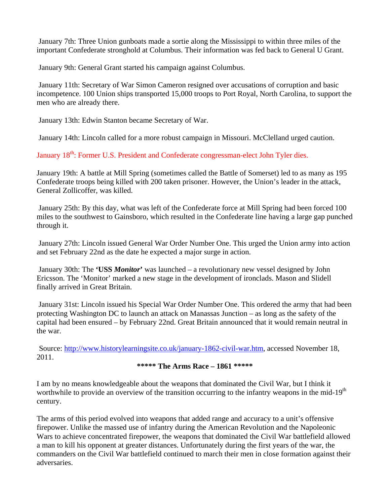January 7th: Three Union gunboats made a sortie along the Mississippi to within three miles of the important Confederate stronghold at Columbus. Their information was fed back to General U Grant.

January 9th: General Grant started his campaign against Columbus.

 January 11th: Secretary of War Simon Cameron resigned over accusations of corruption and basic incompetence. 100 Union ships transported 15,000 troops to Port Royal, North Carolina, to support the men who are already there.

January 13th: Edwin Stanton became Secretary of War.

January 14th: Lincoln called for a more robust campaign in Missouri. McClelland urged caution.

January 18<sup>th</sup>: Former U.S. President and Confederate congressman-elect John Tyler dies.

January 19th: A battle at Mill Spring (sometimes called the Battle of Somerset) led to as many as 195 Confederate troops being killed with 200 taken prisoner. However, the Union's leader in the attack, General Zollicoffer, was killed.

 January 25th: By this day, what was left of the Confederate force at Mill Spring had been forced 100 miles to the southwest to Gainsboro, which resulted in the Confederate line having a large gap punched through it.

 January 27th: Lincoln issued General War Order Number One. This urged the Union army into action and set February 22nd as the date he expected a major surge in action.

 January 30th: The **'USS** *Monitor***'** was launched – a revolutionary new vessel designed by John Ericsson. The 'Monitor' marked a new stage in the development of ironclads. Mason and Slidell finally arrived in Great Britain.

 January 31st: Lincoln issued his Special War Order Number One. This ordered the army that had been protecting Washington DC to launch an attack on Manassas Junction – as long as the safety of the capital had been ensured – by February 22nd. Great Britain announced that it would remain neutral in the war.

 Source: [http://www.historylearningsite.co.uk/january-1862-civil-war.htm,](http://www.historylearningsite.co.uk/january-1862-civil-war.htm) accessed November 18, 2011.

## **\*\*\*\*\* The Arms Race – 1861 \*\*\*\*\***

I am by no means knowledgeable about the weapons that dominated the Civil War, but I think it worthwhile to provide an overview of the transition occurring to the infantry weapons in the mid-19<sup>th</sup> century.

The arms of this period evolved into weapons that added range and accuracy to a unit's offensive firepower. Unlike the massed use of infantry during the American Revolution and the Napoleonic Wars to achieve concentrated firepower, the weapons that dominated the Civil War battlefield allowed a man to kill his opponent at greater distances. Unfortunately during the first years of the war, the commanders on the Civil War battlefield continued to march their men in close formation against their adversaries.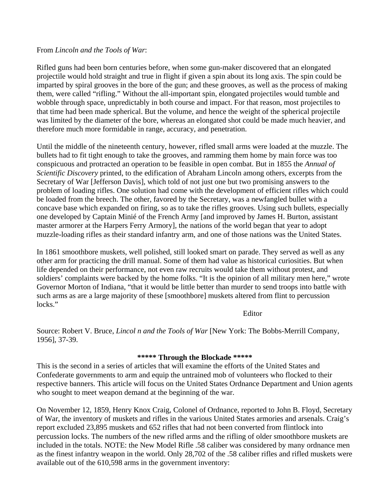#### From *Lincoln and the Tools of War*:

Rifled guns had been born centuries before, when some gun-maker discovered that an elongated projectile would hold straight and true in flight if given a spin about its long axis. The spin could be imparted by spiral grooves in the bore of the gun; and these grooves, as well as the process of making them, were called "rifling." Without the all-important spin, elongated projectiles would tumble and wobble through space, unpredictably in both course and impact. For that reason, most projectiles to that time had been made spherical. But the volume, and hence the weight of the spherical projectile was limited by the diameter of the bore, whereas an elongated shot could be made much heavier, and therefore much more formidable in range, accuracy, and penetration.

Until the middle of the nineteenth century, however, rifled small arms were loaded at the muzzle. The bullets had to fit tight enough to take the grooves, and ramming them home by main force was too conspicuous and protracted an operation to be feasible in open combat. But in 1855 the *Annual of Scientific Discovery* printed, to the edification of Abraham Lincoln among others, excerpts from the Secretary of War [Jefferson Davis], which told of not just one but two promising answers to the problem of loading rifles. One solution had come with the development of efficient rifles which could be loaded from the breech. The other, favored by the Secretary, was a newfangled bullet with a concave base which expanded on firing, so as to take the rifles grooves. Using such bullets, especially one developed by Captain Minié of the French Army [and improved by James H. Burton, assistant master armorer at the Harpers Ferry Armory], the nations of the world began that year to adopt muzzle-loading rifles as their standard infantry arm, and one of those nations was the United States.

In 1861 smoothbore muskets, well polished, still looked smart on parade. They served as well as any other arm for practicing the drill manual. Some of them had value as historical curiosities. But when life depended on their performance, not even raw recruits would take them without protest, and soldiers' complaints were backed by the home folks. "It is the opinion of all military men here," wrote Governor Morton of Indiana, "that it would be little better than murder to send troops into battle with such arms as are a large majority of these [smoothbore] muskets altered from flint to percussion locks."

Editor

Source: Robert V. Bruce, *Lincol n and the Tools of War* [New York: The Bobbs-Merrill Company, 1956], 37-39.

#### **\*\*\*\*\* Through the Blockade \*\*\*\*\***

This is the second in a series of articles that will examine the efforts of the United States and Confederate governments to arm and equip the untrained mob of volunteers who flocked to their respective banners. This article will focus on the United States Ordnance Department and Union agents who sought to meet weapon demand at the beginning of the war.

On November 12, 1859, Henry Knox Craig, Colonel of Ordnance, reported to John B. Floyd, Secretary of War, the inventory of muskets and rifles in the various United States armories and arsenals. Craig's report excluded 23,895 muskets and 652 rifles that had not been converted from flintlock into percussion locks. The numbers of the new rifled arms and the rifling of older smoothbore muskets are included in the totals. NOTE: the New Model Rifle .58 caliber was considered by many ordnance men as the finest infantry weapon in the world. Only 28,702 of the .58 caliber rifles and rifled muskets were available out of the 610,598 arms in the government inventory: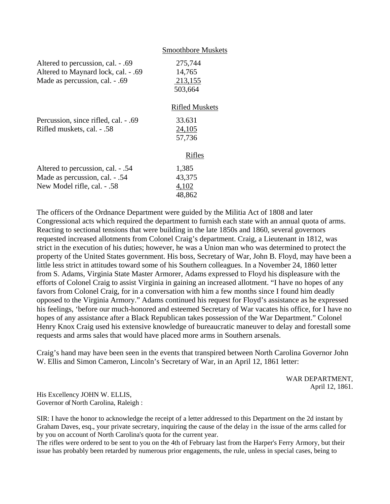|                                                                                                            | <b>Smoothbore Muskets</b>                           |
|------------------------------------------------------------------------------------------------------------|-----------------------------------------------------|
| Altered to percussion, cal. - .69<br>Altered to Maynard lock, cal. - .69<br>Made as percussion, cal. - .69 | 275,744<br>14,765<br>213,155<br>503,664             |
| Percussion, since rifled, cal. - .69<br>Rifled muskets, cal. - .58                                         | <b>Rifled Muskets</b><br>33.631<br>24,105<br>57,736 |
| Altered to percussion, cal. - .54<br>Made as percussion, cal. - .54<br>New Model rifle, cal. - .58         | <b>Rifles</b><br>1,385<br>43,375<br>4,102<br>48,862 |

The officers of the Ordnance Department were guided by the Militia Act of 1808 and later Congressional acts which required the department to furnish each state with an annual quota of arms. Reacting to sectional tensions that were building in the late 1850s and 1860, several governors requested increased allotments from Colonel Craig's department. Craig, a Lieutenant in 1812, was strict in the execution of his duties; however, he was a Union man who was determined to protect the property of the United States government. His boss, Secretary of War, John B. Floyd, may have been a little less strict in attitudes toward some of his Southern colleagues. In a November 24, 1860 letter from S. Adams, Virginia State Master Armorer, Adams expressed to Floyd his displeasure with the efforts of Colonel Craig to assist Virginia in gaining an increased allotment. "I have no hopes of any favors from Colonel Craig, for in a conversation with him a few months since I found him deadly opposed to the Virginia Armory." Adams continued his request for Floyd's assistance as he expressed his feelings, 'before our much-honored and esteemed Secretary of War vacates his office, for I have no hopes of any assistance after a Black Republican takes possession of the War Department." Colonel Henry Knox Craig used his extensive knowledge of bureaucratic maneuver to delay and forestall some requests and arms sales that would have placed more arms in Southern arsenals.

Craig's hand may have been seen in the events that transpired between North Carolina Governor John W. Ellis and Simon Cameron, Lincoln's Secretary of War, in an April 12, 1861 letter:

> WAR DEPARTMENT, April 12, 1861.

His Excellency JOHN W. ELLIS, Governor of North Carolina, Raleigh :

SIR: I have the honor to acknowledge the receipt of a letter addressed to this Department on the 2d instant by Graham Daves, esq., your private secretary, inquiring the cause of the delay in the issue of the arms called for by you on account of North Carolina's quota for the current year.

The rifles were ordered to be sent to you on the 4th of February last from the Harper's Ferry Armory, but their issue has probably been retarded by numerous prior engagements, the rule, unless in special cases, being to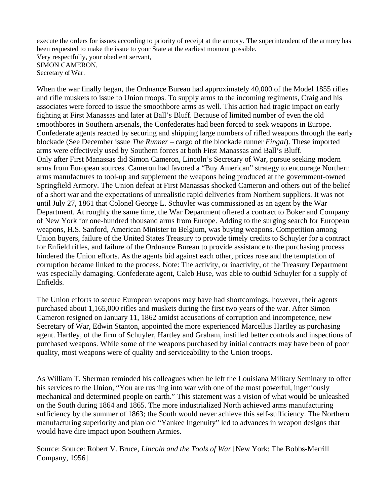execute the orders for issues according to priority of receipt at the armory. The superintendent of the armory has been requested to make the issue to your State at the earliest moment possible. Very respectfully, your obedient servant, SIMON CAMERON, Secretary of War.

When the war finally began, the Ordnance Bureau had approximately 40,000 of the Model 1855 rifles and rifle muskets to issue to Union troops. To supply arms to the incoming regiments, Craig and his associates were forced to issue the smoothbore arms as well. This action had tragic impact on early fighting at First Manassas and later at Ball's Bluff. Because of limited number of even the old smoothbores in Southern arsenals, the Confederates had been forced to seek weapons in Europe. Confederate agents reacted by securing and shipping large numbers of rifled weapons through the early blockade (See December issue *The Runner* – cargo of the blockade runner *Fingal*). These imported arms were effectively used by Southern forces at both First Manassas and Ball's Bluff. Only after First Manassas did Simon Cameron, Lincoln's Secretary of War, pursue seeking modern arms from European sources. Cameron had favored a "Buy American" strategy to encourage Northern arms manufactures to tool-up and supplement the weapons being produced at the government-owned Springfield Armory. The Union defeat at First Manassas shocked Cameron and others out of the belief of a short war and the expectations of unrealistic rapid deliveries from Northern suppliers. It was not until July 27, 1861 that Colonel George L. Schuyler was commissioned as an agent by the War Department. At roughly the same time, the War Department offered a contract to Boker and Company of New York for one-hundred thousand arms from Europe. Adding to the surging search for European weapons, H.S. Sanford, American Minister to Belgium, was buying weapons. Competition among Union buyers, failure of the United States Treasury to provide timely credits to Schuyler for a contract for Enfield rifles, and failure of the Ordnance Bureau to provide assistance to the purchasing process hindered the Union efforts. As the agents bid against each other, prices rose and the temptation of corruption became linked to the process. Note: The activity, or inactivity, of the Treasury Department was especially damaging. Confederate agent, Caleb Huse, was able to outbid Schuyler for a supply of Enfields.

The Union efforts to secure European weapons may have had shortcomings; however, their agents purchased about 1,165,000 rifles and muskets during the first two years of the war. After Simon Cameron resigned on January 11, 1862 amidst accusations of corruption and incompetence, new Secretary of War, Edwin Stanton, appointed the more experienced Marcellus Hartley as purchasing agent. Hartley, of the firm of Schuyler, Hartley and Graham, instilled better controls and inspections of purchased weapons. While some of the weapons purchased by initial contracts may have been of poor quality, most weapons were of quality and serviceability to the Union troops.

As William T. Sherman reminded his colleagues when he left the Louisiana Military Seminary to offer his services to the Union, "You are rushing into war with one of the most powerful, ingeniously mechanical and determined people on earth." This statement was a vision of what would be unleashed on the South during 1864 and 1865. The more industrialized North achieved arms manufacturing sufficiency by the summer of 1863; the South would never achieve this self-sufficiency. The Northern manufacturing superiority and plan old "Yankee Ingenuity" led to advances in weapon designs that would have dire impact upon Southern Armies.

Source: Source: Robert V. Bruce, *Lincoln and the Tools of War* [New York: The Bobbs-Merrill Company, 1956].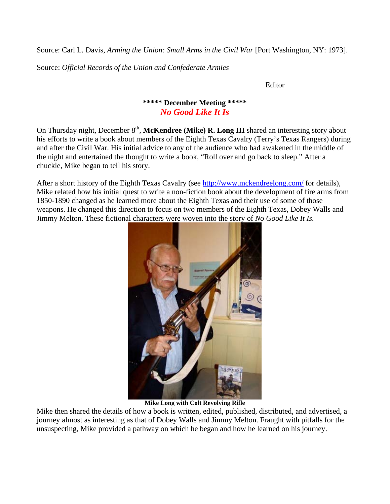Source: Carl L. Davis, *Arming the Union: Small Arms in the Civil War* [Port Washington, NY: 1973].

Source: *Official Records of the Union and Confederate Armies*

Editor

## **\*\*\*\*\* December Meeting \*\*\*\*\*** *No Good Like It Is*

On Thursday night, December 8<sup>th</sup>, Mc**Kendree (Mike) R. Long III** shared an interesting story about his efforts to write a book about members of the Eighth Texas Cavalry (Terry's Texas Rangers) during and after the Civil War. His initial advice to any of the audience who had awakened in the middle of the night and entertained the thought to write a book, "Roll over and go back to sleep." After a chuckle, Mike began to tell his story.

After a short history of the Eighth Texas Cavalry (see<http://www.mckendreelong.com/>for details), Mike related how his initial quest to write a non-fiction book about the development of fire arms from 1850-1890 changed as he learned more about the Eighth Texas and their use of some of those weapons. He changed this direction to focus on two members of the Eighth Texas, Dobey Walls and Jimmy Melton. These fictional characters were woven into the story of *No Good Like It Is.* 



**Mike Long with Colt Revolving Rifle**

Mike then shared the details of how a book is written, edited, published, distributed, and advertised, a journey almost as interesting as that of Dobey Walls and Jimmy Melton. Fraught with pitfalls for the unsuspecting, Mike provided a pathway on which he began and how he learned on his journey.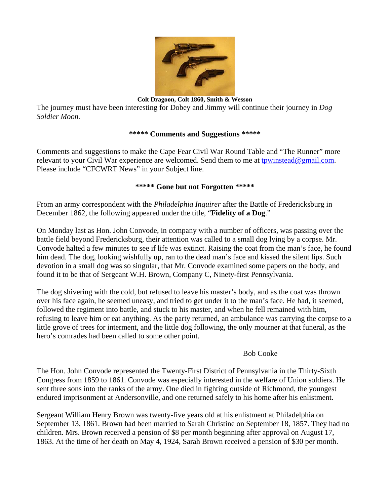

**Colt Dragoon, Colt 1860, Smith & Wesson**

The journey must have been interesting for Dobey and Jimmy will continue their journey in *Dog Soldier Moon.* 

#### **\*\*\*\*\* Comments and Suggestions \*\*\*\*\***

Comments and suggestions to make the Cape Fear Civil War Round Table and "The Runner" more relevant to your Civil War experience are welcomed. Send them to me at [tpwinstead@gmail.com.](mailto:tpwinstead@gmail.com) Please include "CFCWRT News" in your Subject line.

#### **\*\*\*\*\* Gone but not Forgotten \*\*\*\*\***

From an army correspondent with the *Philadelphia Inquirer* after the Battle of Fredericksburg in December 1862, the following appeared under the title, "**Fidelity of a Dog**."

On Monday last as Hon. John Convode, in company with a number of officers, was passing over the battle field beyond Fredericksburg, their attention was called to a small dog lying by a corpse. Mr. Convode halted a few minutes to see if life was extinct. Raising the coat from the man's face, he found him dead. The dog, looking wishfully up, ran to the dead man's face and kissed the silent lips. Such devotion in a small dog was so singular, that Mr. Convode examined some papers on the body, and found it to be that of Sergeant W.H. Brown, Company C, Ninety-first Pennsylvania.

The dog shivering with the cold, but refused to leave his master's body, and as the coat was thrown over his face again, he seemed uneasy, and tried to get under it to the man's face. He had, it seemed, followed the regiment into battle, and stuck to his master, and when he fell remained with him, refusing to leave him or eat anything. As the party returned, an ambulance was carrying the corpse to a little grove of trees for interment, and the little dog following, the only mourner at that funeral, as the hero's comrades had been called to some other point.

#### Bob Cooke

The Hon. John Convode represented the Twenty-First District of Pennsylvania in the Thirty-Sixth Congress from 1859 to 1861. Convode was especially interested in the welfare of Union soldiers. He sent three sons into the ranks of the army. One died in fighting outside of Richmond, the youngest endured imprisonment at Andersonville, and one returned safely to his home after his enlistment.

Sergeant William Henry Brown was twenty-five years old at his enlistment at Philadelphia on September 13, 1861. Brown had been married to Sarah Christine on September 18, 1857. They had no children. Mrs. Brown received a pension of \$8 per month beginning after approval on August 17, 1863. At the time of her death on May 4, 1924, Sarah Brown received a pension of \$30 per month.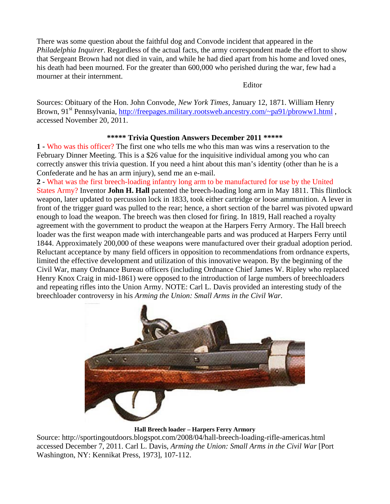There was some question about the faithful dog and Convode incident that appeared in the *Philadelphia Inquirer*. Regardless of the actual facts, the army correspondent made the effort to show that Sergeant Brown had not died in vain, and while he had died apart from his home and loved ones, his death had been mourned. For the greater than 600,000 who perished during the war, few had a mourner at their internment.

Editor

Sources: Obituary of the Hon. John Convode, *New York Times,* January 12, 1871. William Henry Brown, 91<sup>st</sup> Pennsylvania, http://freepages.military.rootsweb.ancestry.com/~pa91/pbroww1.html, accessed November 20, 2011.

## **\*\*\*\*\* Trivia Question Answers December 2011 \*\*\*\*\***

**1 -** Who was this officer? The first one who tells me who this man was wins a reservation to the February Dinner Meeting. This is a \$26 value for the inquisitive individual among you who can correctly answer this trivia question. If you need a hint about this man's identity (other than he is a Confederate and he has an arm injury), send me an e-mail.

**2 -** What was the first breech-loading infantry long arm to be manufactured for use by the United States Army? Inventor **John H. Hall** patented the breech-loading long arm in May 1811. This flintlock weapon, later updated to percussion lock in 1833, took either cartridge or loose ammunition. A lever in front of the trigger guard was pulled to the rear; hence, a short section of the barrel was pivoted upward enough to load the weapon. The breech was then closed for firing. In 1819, Hall reached a royalty agreement with the government to product the weapon at the Harpers Ferry Armory. The Hall breech loader was the first weapon made with interchangeable parts and was produced at Harpers Ferry until 1844. Approximately 200,000 of these weapons were manufactured over their gradual adoption period. Reluctant acceptance by many field officers in opposition to recommendations from ordnance experts, limited the effective development and utilization of this innovative weapon. By the beginning of the Civil War, many Ordnance Bureau officers (including Ordnance Chief James W. Ripley who replaced Henry Knox Craig in mid-1861) were opposed to the introduction of large numbers of breechloaders and repeating rifles into the Union Army. NOTE: Carl L. Davis provided an interesting study of the breechloader controversy in his *Arming the Union: Small Arms in the Civil War.*



#### **Hall Breech loader – Harpers Ferry Armory**

Source: http://sportingoutdoors.blogspot.com/2008/04/hall-breech-loading-rifle-americas.html accessed December 7, 2011. Carl L. Davis, *Arming the Union: Small Arms in the Civil War* [Port Washington, NY: Kennikat Press, 1973], 107-112.